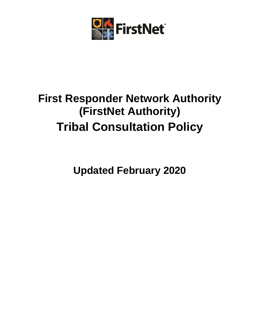

# **First Responder Network Authority (FirstNet Authority) Tribal Consultation Policy**

**Updated February 2020**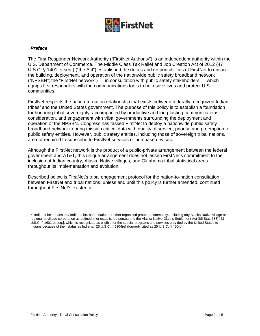

#### *Preface*

The First Responder Network Authority ("FirstNet Authority") is an independent authority within the U.S. Department of Commerce. The Middle Class Tax Relief and Job Creation Act of 2012 (47 U.S.C. § 1401 et seq.) ("the Act") established the duties and responsibilities of FirstNet to ensure the building, deployment, and operation of the nationwide public safety broadband network ("NPSBN"; the "FirstNet network") — in consultation with public safety stakeholders — which equips first responders with the communications tools to help save lives and protect U.S. communities.

FirstNet respects the nation-to-nation relationship that exists between federally recognized Indian tribes<sup>1</sup> and the United States government. The purpose of this policy is to establish a foundation for honoring tribal sovereignty, accompanied by productive and long-lasting communications, consideration, and engagement with tribal governments surrounding the deployment and operation of the NPSBN. Congress has tasked FirstNet to deploy a nationwide public safety broadband network to bring mission critical data with quality of service, priority, and preemption to public safety entities. However, public safety entities, including those of sovereign tribal nations, are not required to subscribe to FirstNet services or purchase devices.

Although the FirstNet network is the product of a public-private arrangement between the federal government and AT&T, this unique arrangement does not lessen FirstNet's commitment to the inclusion of Indian country, Alaska Native villages, and Oklahoma tribal statistical areas throughout its implementation and evolution.

Described below is FirstNet's tribal engagement protocol for the nation-to-nation consultation between FirstNet and tribal nations, unless and until this policy is further amended, continued throughout FirstNet's existence.

<sup>1 &</sup>quot;'Indian tribe' means any Indian tribe, band, nation, or other organized group or community, including any Alaska Native village or regional or village corporation as defined in or established pursuant to the Alaska Native Claims Settlement Act (85 Stat. 688) [43 U.S.C. § 1601 et seq.], which is recognized as eligible for the special programs and services provided by the United States to Indians because of their status as Indians." 25 U.S.C. § 5304(e) (formerly cited as 25 U.S.C. § 450(b)).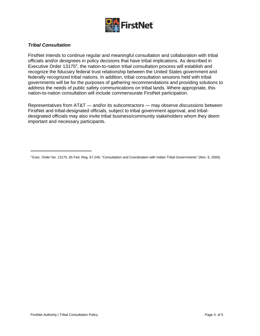

## *Tribal Consultation*

FirstNet intends to continue regular and meaningful consultation and collaboration with tribal officials and/or designees in policy decisions that have tribal implications. As described in Executive Order 13175<sup>2</sup>, the nation-to-nation tribal consultation process will establish and recognize the fiduciary federal trust relationship between the United States government and federally recognized tribal nations. In addition, tribal consultation sessions held with tribal governments will be for the purposes of gathering recommendations and providing solutions to address the needs of public safety communications on tribal lands. Where appropriate, this nation-to-nation consultation will include commensurate FirstNet participation.

Representatives from AT&T — and/or its subcontractors — may observe discussions between FirstNet and tribal-designated officials, subject to tribal government approval, and tribaldesignated officials may also invite tribal business/community stakeholders whom they deem important and necessary participants.

<sup>2</sup> Exec. Order No. 13175, 65 Fed. Reg. 67,249, "Consultation and Coordination with Indian Tribal Governments" (Nov. 6, 2000).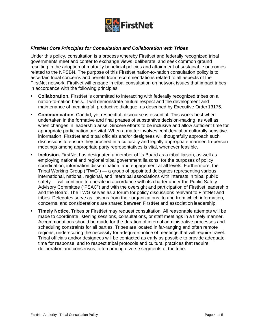

## *FirstNet Core Principles for Consultation and Collaboration with Tribes*

Under this policy, consultation is a process whereby FirstNet and federally recognized tribal governments meet and confer to exchange views, deliberate, and seek common ground resulting in the adoption of mutually beneficial policies and attainment of sustainable outcomes related to the NPSBN. The purpose of this FirstNet nation-to-nation consultation policy is to ascertain tribal concerns and benefit from recommendations related to all aspects of the FirstNet network. FirstNet will engage in tribal consultation on network issues that impact tribes in accordance with the following principles:

- **Collaboration.** FirstNet is committed to interacting with federally recognized tribes on a nation-to-nation basis. It will demonstrate mutual respect and the development and maintenance of meaningful, productive dialogue, as described by Executive Order13175.
- **Communication.** Candid, yet respectful, discourse is essential. This works best when undertaken in the formative and final phases of substantive decision-making, as well as when changes in leadership arise. Sincere efforts to be inclusive and allow sufficient time for appropriate participation are vital. When a matter involves confidential or culturally sensitive information, FirstNet and tribal officials and/or designees will thoughtfully approach such discussions to ensure they proceed in a culturally and legally appropriate manner. In-person meetings among appropriate party representatives is vital, whenever feasible.
- **Inclusion.** FirstNet has designated a member of its Board as a tribal liaison, as well as employing national and regional tribal government liaisons, for the purposes of policy coordination, information dissemination, and engagement at all levels. Furthermore, the Tribal Working Group ("TWG") — a group of appointed delegates representing various international, national, regional, and intertribal associations with interests in tribal public safety — will continue to operate in accordance with its charter under the Public Safety Advisory Committee ("PSAC") and with the oversight and participation of FirstNet leadership and the Board. The TWG serves as a forum for policy discussions relevant to FirstNet and tribes. Delegates serve as liaisons from their organizations, to and from which information, concerns, and considerations are shared between FirstNet and association leadership.
- **Timely Notice.** Tribes or FirstNet may request consultation. All reasonable attempts will be made to coordinate listening sessions, consultations, or staff meetings in a timely manner. Accommodations should be made for the duration of internal administrative processes and scheduling constraints for all parties. Tribes are located in far-ranging and often remote regions, underscoring the necessity for adequate notice of meetings that will require travel. Tribal officials and/or designees will be contacted as early as possible to provide adequate time for response, and to respect tribal protocols and cultural practices that require deliberation and consensus, often among diverse segments of the tribe.